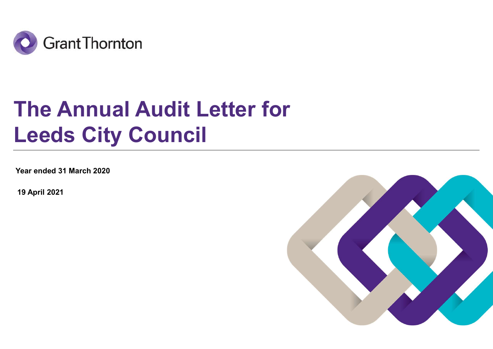

# The Annual Audit Letter for Leeds City Council

Year ended 31 March 2020

19 April 2021

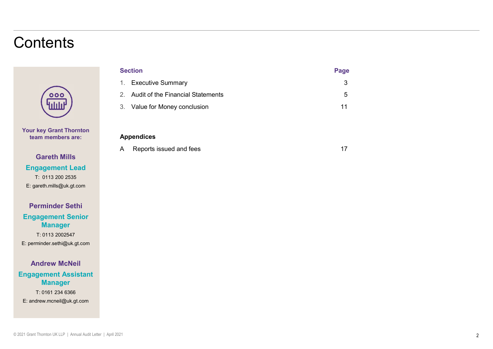### **Contents**



Your key Grant Thornton team members are:

Gareth Mills Engagement Lead T: 0113 200 2535 E: gareth.mills@uk.gt.com

Perminder Sethi Engagement Senior Manager

T: 0113 2002547 E: perminder.sethi@uk.gt.com

#### Andrew McNeil

Engagement Assistant Manager T: 0161 234 6366 E: andrew.mcneil@uk.gt.com

|              | <b>Section</b>                       | Page         |  |
|--------------|--------------------------------------|--------------|--|
|              | 1. Executive Summary                 | $\mathbf{3}$ |  |
|              | 2. Audit of the Financial Statements | $\sqrt{5}$   |  |
|              | 3. Value for Money conclusion        | 11           |  |
|              |                                      |              |  |
|              | <b>Appendices</b>                    |              |  |
| $\mathsf{A}$ | Reports issued and fees              | 17           |  |
|              |                                      |              |  |
|              |                                      |              |  |
|              |                                      |              |  |

#### Appendices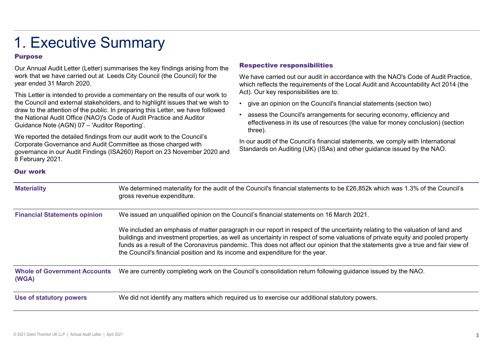## 1. Executive Summary

#### Purpose

This Letter is intended to provide a commentary on the results of our work to the Council and external stakeholders, and to highlight issues that we wish to . give an opinion on the Council's financial statements (section two) draw to the attention of the public. In preparing this Letter, we have followed<br>the National Audit Office (NAO)'s Code of Audit Prestice and Auditors of Auditors assess the Council's arrangements for securing economy, effi the National Audit Office (NAO)'s Code of Audit Practice and Auditor 1. Executive Summarises the key findings arising from the<br>
Dur Annual Audit Letter (Letter) summarises the key findings arising from the<br>
work that we have carried out at Leeds City Council (the Council) for the We have ca

Respective responsibilities<br>We have carried out our audit in accordance with the NAO's Code of Audit Practice,<br>which reflects the requirements of the Local Audit and Accountability Act 2014 (the<br>Act). Our key responsibilit We have carried out our audit in accordance with the NAO's Code of Audit Practice, which reflects the requirements of the Local Audit and Accountability Act 2014 (the Act). Our key responsibilities are to:

- 
- **Respective responsibilities**<br>
We have carried out our audit in accordance with the NAO's Code of Audit Practice,<br>
which reflects the requirements of the Local Audit and Accountability Act 2014 (the<br>
Act). Our key responsi Fractive **France Council's arrangements**<br>
We have carried out our audit in accordance with the NAO's Code of Audit Practice,<br>
which reflects the requirements of the Local Audit and Accountability Act 2014 (the<br>
Act). Our k effectiveness in its use of resources (the value for money conclusion) (section three).

#### Our work

| Our Annual Audit Letter (Letter) summarises the key findings arising from the<br>work that we have carried out at Leeds City Council (the Council) for the<br>year ended 31 March 2020.                                                                                                                                                                                                                                                                                                                                                                                                                                                    |                                                                                          | <b>Respective responsibilities</b><br>We have carried out our audit in accordance with the NAO's Code of Audit Practice,<br>which reflects the requirements of the Local Audit and Accountability Act 2014 (the                                                                                                                                                                                                                                          |  |
|--------------------------------------------------------------------------------------------------------------------------------------------------------------------------------------------------------------------------------------------------------------------------------------------------------------------------------------------------------------------------------------------------------------------------------------------------------------------------------------------------------------------------------------------------------------------------------------------------------------------------------------------|------------------------------------------------------------------------------------------|----------------------------------------------------------------------------------------------------------------------------------------------------------------------------------------------------------------------------------------------------------------------------------------------------------------------------------------------------------------------------------------------------------------------------------------------------------|--|
| This Letter is intended to provide a commentary on the results of our work to<br>the Council and external stakeholders, and to highlight issues that we wish to<br>draw to the attention of the public. In preparing this Letter, we have followed<br>the National Audit Office (NAO)'s Code of Audit Practice and Auditor<br>Guidance Note (AGN) 07 - 'Auditor Reporting'.<br>We reported the detailed findings from our audit work to the Council's<br>Corporate Governance and Audit Committee as those charged with<br>governance in our Audit Findings (ISA260) Report on 23 November 2020 and<br>8 February 2021.<br><b>Our work</b> |                                                                                          | Act). Our key responsibilities are to:<br>• give an opinion on the Council's financial statements (section two)<br>• assess the Council's arrangements for securing economy, efficiency and<br>effectiveness in its use of resources (the value for money conclusion) (section<br>three).<br>In our audit of the Council's financial statements, we comply with International<br>Standards on Auditing (UK) (ISAs) and other guidance issued by the NAO. |  |
| <b>Materiality</b>                                                                                                                                                                                                                                                                                                                                                                                                                                                                                                                                                                                                                         |                                                                                          | We determined materiality for the audit of the Council's financial statements to be £26,852k which was 1.3% of the Council's                                                                                                                                                                                                                                                                                                                             |  |
|                                                                                                                                                                                                                                                                                                                                                                                                                                                                                                                                                                                                                                            | gross revenue expenditure.                                                               |                                                                                                                                                                                                                                                                                                                                                                                                                                                          |  |
| <b>Financial Statements opinion</b>                                                                                                                                                                                                                                                                                                                                                                                                                                                                                                                                                                                                        | We issued an unqualified opinion on the Council's financial statements on 16 March 2021. |                                                                                                                                                                                                                                                                                                                                                                                                                                                          |  |
|                                                                                                                                                                                                                                                                                                                                                                                                                                                                                                                                                                                                                                            | the Council's financial position and its income and expenditure for the year.            | We included an emphasis of matter paragraph in our report in respect of the uncertainty relating to the valuation of land and<br>buildings and investment properties, as well as uncertainty in respect of some valuations of private equity and pooled property<br>funds as a result of the Coronavirus pandemic. This does not affect our opinion that the statements give a true and fair view of                                                     |  |
| <b>Whole of Government Accounts</b><br>(WGA)                                                                                                                                                                                                                                                                                                                                                                                                                                                                                                                                                                                               |                                                                                          | We are currently completing work on the Council's consolidation return following guidance issued by the NAO.                                                                                                                                                                                                                                                                                                                                             |  |
| We did not identify any matters which required us to exercise our additional statutory powers.<br>Use of statutory powers                                                                                                                                                                                                                                                                                                                                                                                                                                                                                                                  |                                                                                          |                                                                                                                                                                                                                                                                                                                                                                                                                                                          |  |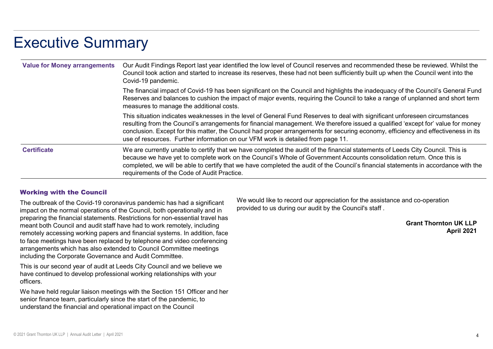### Executive Summary

| Executive Summary                   |                                                                                                                                                                                                                                                                                                                                                                                                                                                                                         |
|-------------------------------------|-----------------------------------------------------------------------------------------------------------------------------------------------------------------------------------------------------------------------------------------------------------------------------------------------------------------------------------------------------------------------------------------------------------------------------------------------------------------------------------------|
| <b>Value for Money arrangements</b> | Our Audit Findings Report last year identified the low level of Council reserves and recommended these be reviewed. Whilst the<br>Council took action and started to increase its reserves, these had not been sufficiently built up when the Council went into the<br>Covid-19 pandemic.                                                                                                                                                                                               |
|                                     | The financial impact of Covid-19 has been significant on the Council and highlights the inadequacy of the Council's General Fund<br>Reserves and balances to cushion the impact of major events, requiring the Council to take a range of unplanned and short term<br>measures to manage the additional costs.                                                                                                                                                                          |
|                                     | This situation indicates weaknesses in the level of General Fund Reserves to deal with significant unforeseen circumstances<br>resulting from the Council's arrangements for financial management. We therefore issued a qualified 'except for' value for money<br>conclusion. Except for this matter, the Council had proper arrangements for securing economy, efficiency and effectiveness in its<br>use of resources. Further information on our VFM work is detailed from page 11. |
| <b>Certificate</b>                  | We are currently unable to certify that we have completed the audit of the financial statements of Leeds City Council. This is<br>because we have yet to complete work on the Council's Whole of Government Accounts consolidation return. Once this is<br>completed, we will be able to certify that we have completed the audit of the Council's financial statements in accordance with the                                                                                          |

#### Working with the Council

The outbreak of the Covid-19 coronavirus pandemic has had a significant impact on the normal operations of the Council, both operationally and in preparing the financial statements. Restrictions for non-essential travel has meant both Council and audit staff have had to work remotely, including remotely accessing working papers and financial systems. In addition, face to face meetings have been replaced by telephone and video conferencing arrangements which has also extended to Council Committee meetings including the Corporate Governance and Audit Committee.

This is our second year of audit at Leeds City Council and we believe we have continued to develop professional working relationships with your officers.

We have held regular liaison meetings with the Section 151 Officer and her senior finance team, particularly since the start of the pandemic, to understand the financial and operational impact on the Council

We would like to record our appreciation for the assistance and co-operation provided to us during our audit by the Council's staff .

> Grant Thornton UK LLP April 2021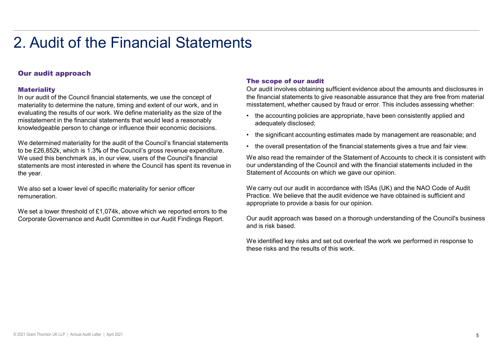#### Our audit approach

#### **Materiality**

In our audit of the Council financial statements, we use the concept of materiality to determine the nature, timing and extent of our work, and in evaluating the results of our work. We define materiality as the size of the **the accounting policies are appropriate**, have been consistently applied and misstatement in the financial statements that would lead a reasonably

We determined materiality for the audit of the Council's financial statements <br>Alternation of the financial statements gives a true and fair view. to be £26,852k, which is 1.3% of the Council's gross revenue expenditure. We used this benchmark as, in our view, users of the Council's financial statements are most interested in where the Council has spent its revenue in the year.

We also set a lower level of specific materiality for senior officer remuneration.

We set a lower threshold of £1,074k, above which we reported errors to the Corporate Governance and Audit Committee in our Audit Findings Report.

#### The scope of our audit

Our audit involves obtaining sufficient evidence about the amounts and disclosures in the financial statements to give reasonable assurance that they are free from material misstatement, whether caused by fraud or error. This includes assessing whether: • the scope of our audit<br>
Our audit involves obtaining sufficient evidence about the amounts and disclosures in<br>
the financial statements to give reasonable assurance that they are free from material<br>
• the accounting poli • the financial statements to give reasonable account the amounts and disclosures in the financial statements to give reasonable assurance that they are fersom material emisstatement, whether caused by fraud or error. This

- adequately disclosed;
- knowledgeable person to change or influence their economic decisions.<br>• the significant accounting estimates made by management are reasonable; and<br>• the significant accounting estimates made by management are reasonable;
	-

Fine scope of our audit<br>
Our audit involves obtaining sufficient evidence about the amounts and disclosures in<br>
the financial statements to give reasonable assurance that they are free from material<br>
inistatement, whether We also read the remainder of the Statement of Accounts to check it is consistent with our understanding of the Council and with the financial statements included in the Statement of Accounts on which we gave our opinion.

We carry out our audit in accordance with ISAs (UK) and the NAO Code of Audit Practice. We believe that the audit evidence we have obtained is sufficient and appropriate to provide a basis for our opinion.

Our audit approach was based on a thorough understanding of the Council's business and is risk based.

We identified key risks and set out overleaf the work we performed in response to these risks and the results of this work.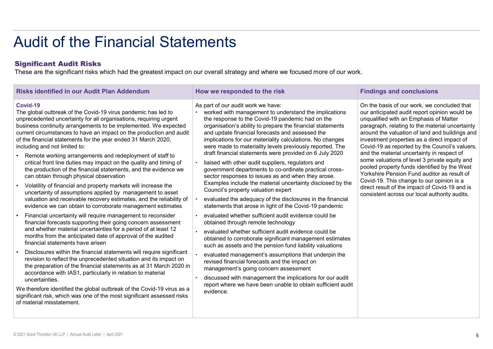#### Significant Audit Risks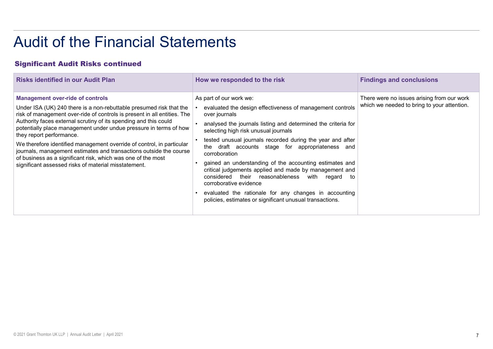#### Significant Audit Risks continued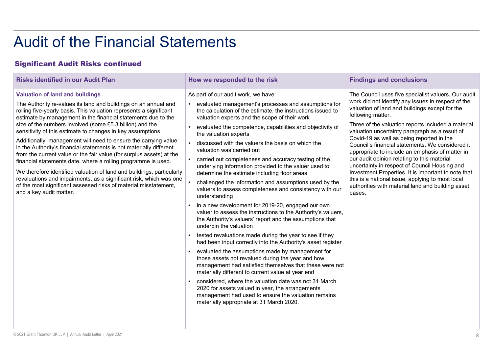#### Significant Audit Risks continued

| <b>Audit of the Financial Statements</b><br><b>Significant Audit Risks continued</b>                                                                                                                                                                                                                                                                                                                                                                                                                                                                                                                                                                                                                                                                                                                                                                                                                         |                                                                                                                                                                                                                                                                                                                                                                                                                                                                                                                                                                                                                                                                                                                                                                                                                                                                                                                                                                                                                                                                                                                                                                                                                                                                                                                                                                                                                                                                            |                                                                                                                                                                                                                                                                                                                                                                                                                                                                                                                                                                                                                                                                                                                        |  |  |
|--------------------------------------------------------------------------------------------------------------------------------------------------------------------------------------------------------------------------------------------------------------------------------------------------------------------------------------------------------------------------------------------------------------------------------------------------------------------------------------------------------------------------------------------------------------------------------------------------------------------------------------------------------------------------------------------------------------------------------------------------------------------------------------------------------------------------------------------------------------------------------------------------------------|----------------------------------------------------------------------------------------------------------------------------------------------------------------------------------------------------------------------------------------------------------------------------------------------------------------------------------------------------------------------------------------------------------------------------------------------------------------------------------------------------------------------------------------------------------------------------------------------------------------------------------------------------------------------------------------------------------------------------------------------------------------------------------------------------------------------------------------------------------------------------------------------------------------------------------------------------------------------------------------------------------------------------------------------------------------------------------------------------------------------------------------------------------------------------------------------------------------------------------------------------------------------------------------------------------------------------------------------------------------------------------------------------------------------------------------------------------------------------|------------------------------------------------------------------------------------------------------------------------------------------------------------------------------------------------------------------------------------------------------------------------------------------------------------------------------------------------------------------------------------------------------------------------------------------------------------------------------------------------------------------------------------------------------------------------------------------------------------------------------------------------------------------------------------------------------------------------|--|--|
| <b>Risks identified in our Audit Plan</b><br><b>Findings and conclusions</b><br>How we responded to the risk                                                                                                                                                                                                                                                                                                                                                                                                                                                                                                                                                                                                                                                                                                                                                                                                 |                                                                                                                                                                                                                                                                                                                                                                                                                                                                                                                                                                                                                                                                                                                                                                                                                                                                                                                                                                                                                                                                                                                                                                                                                                                                                                                                                                                                                                                                            |                                                                                                                                                                                                                                                                                                                                                                                                                                                                                                                                                                                                                                                                                                                        |  |  |
| <b>Valuation of land and buildings</b><br>The Authority re-values its land and buildings on an annual and<br>rolling five-yearly basis. This valuation represents a significant<br>estimate by management in the financial statements due to the<br>size of the numbers involved (some £5.3 billion) and the<br>sensitivity of this estimate to changes in key assumptions.<br>Additionally, management will need to ensure the carrying value<br>in the Authority's financial statements is not materially different<br>from the current value or the fair value (for surplus assets) at the<br>financial statements date, where a rolling programme is used.<br>We therefore identified valuation of land and buildings, particularly<br>revaluations and impairments, as a significant risk, which was one<br>of the most significant assessed risks of material misstatement,<br>and a key audit matter. | As part of our audit work, we have:<br>evaluated management's processes and assumptions for<br>the calculation of the estimate, the instructions issued to<br>valuation experts and the scope of their work<br>evaluated the competence, capabilities and objectivity of<br>the valuation experts<br>discussed with the valuers the basis on which the<br>valuation was carried out<br>carried out completeness and accuracy testing of the<br>underlying information provided to the valuer used to<br>determine the estimate including floor areas<br>challenged the information and assumptions used by the<br>valuers to assess completeness and consistency with our<br>understanding<br>in a new development for 2019-20, engaged our own<br>valuer to assess the instructions to the Authority's valuers,<br>the Authority's valuers' report and the assumptions that<br>underpin the valuation<br>tested revaluations made during the year to see if they<br>had been input correctly into the Authority's asset register<br>evaluated the assumptions made by management for<br>those assets not revalued during the year and how<br>management had satisfied themselves that these were not<br>materially different to current value at year end<br>considered, where the valuation date was not 31 March<br>2020 for assets valued in year, the arrangements<br>management had used to ensure the valuation remains<br>materially appropriate at 31 March 2020. | The Council uses five specialist valuers. Our audit<br>work did not identify any issues in respect of the<br>valuation of land and buildings except for the<br>following matter.<br>Three of the valuation reports included a material<br>valuation uncertainty paragraph as a result of<br>Covid-19 as well as being reported in the<br>Council's financial statements. We considered it<br>appropriate to include an emphasis of matter in<br>our audit opinion relating to this material<br>uncertainty in respect of Council Housing and<br>Investment Properties. It is important to note that<br>this is a national issue, applying to most local<br>authorities with material land and building asset<br>bases. |  |  |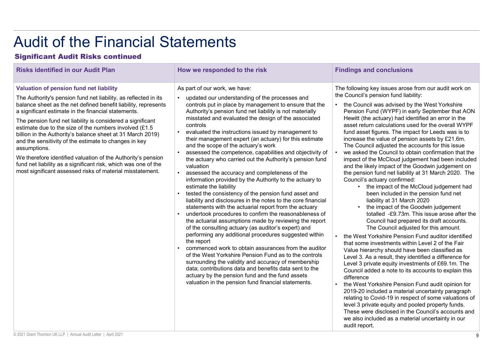### Significant Audit Risks continued

| <b>Audit of the Financial Statements</b><br><b>Significant Audit Risks continued</b><br><b>Risks identified in our Audit Plan</b><br><b>Findings and conclusions</b><br>How we responded to the risk                                                                                                                                                                                                                                                                                                                                                                                                                                                                                              |                                                                                                                                                                                                                                                                                                                                                                                                                                                                                                                                                                                                                                                                                                                                                                                                                                                                                                                                                                                                                                                                                                                                                                                                                                                                                                                                                                                                                                                                                                        |                                                                                                                                                                                                                                                                                                                                                                                                                                                                                                                                                                                                                                                                                                                                                                                                                                                                                                                                                                                                                                                                                                                                                                                                                                                                                                                                                                                                                                                                                                                                                                                                                                                                                                                           |  |  |
|---------------------------------------------------------------------------------------------------------------------------------------------------------------------------------------------------------------------------------------------------------------------------------------------------------------------------------------------------------------------------------------------------------------------------------------------------------------------------------------------------------------------------------------------------------------------------------------------------------------------------------------------------------------------------------------------------|--------------------------------------------------------------------------------------------------------------------------------------------------------------------------------------------------------------------------------------------------------------------------------------------------------------------------------------------------------------------------------------------------------------------------------------------------------------------------------------------------------------------------------------------------------------------------------------------------------------------------------------------------------------------------------------------------------------------------------------------------------------------------------------------------------------------------------------------------------------------------------------------------------------------------------------------------------------------------------------------------------------------------------------------------------------------------------------------------------------------------------------------------------------------------------------------------------------------------------------------------------------------------------------------------------------------------------------------------------------------------------------------------------------------------------------------------------------------------------------------------------|---------------------------------------------------------------------------------------------------------------------------------------------------------------------------------------------------------------------------------------------------------------------------------------------------------------------------------------------------------------------------------------------------------------------------------------------------------------------------------------------------------------------------------------------------------------------------------------------------------------------------------------------------------------------------------------------------------------------------------------------------------------------------------------------------------------------------------------------------------------------------------------------------------------------------------------------------------------------------------------------------------------------------------------------------------------------------------------------------------------------------------------------------------------------------------------------------------------------------------------------------------------------------------------------------------------------------------------------------------------------------------------------------------------------------------------------------------------------------------------------------------------------------------------------------------------------------------------------------------------------------------------------------------------------------------------------------------------------------|--|--|
| Valuation of pension fund net liability<br>The Authority's pension fund net liability, as reflected in its<br>balance sheet as the net defined benefit liability, represents<br>a significant estimate in the financial statements.<br>The pension fund net liability is considered a significant<br>estimate due to the size of the numbers involved (£1.5<br>billion in the Authority's balance sheet at 31 March 2019)<br>and the sensitivity of the estimate to changes in key<br>assumptions.<br>We therefore identified valuation of the Authority's pension<br>fund net liability as a significant risk, which was one of the<br>most significant assessed risks of material misstatement. | As part of our work, we have:<br>updated our understanding of the processes and<br>$\bullet$<br>controls put in place by management to ensure that the<br>Authority's pension fund net liability is not materially<br>misstated and evaluated the design of the associated<br>controls<br>evaluated the instructions issued by management to<br>their management expert (an actuary) for this estimate<br>and the scope of the actuary's work<br>assessed the competence, capabilities and objectivity of<br>the actuary who carried out the Authority's pension fund<br>valuation<br>assessed the accuracy and completeness of the<br>information provided by the Authority to the actuary to<br>estimate the liability<br>tested the consistency of the pension fund asset and<br>liability and disclosures in the notes to the core financial<br>statements with the actuarial report from the actuary<br>undertook procedures to confirm the reasonableness of<br>the actuarial assumptions made by reviewing the report<br>of the consulting actuary (as auditor's expert) and<br>performing any additional procedures suggested within<br>the report<br>commenced work to obtain assurances from the auditor<br>of the West Yorkshire Pension Fund as to the controls<br>surrounding the validity and accuracy of membership<br>data; contributions data and benefits data sent to the<br>actuary by the pension fund and the fund assets<br>valuation in the pension fund financial statements. | The following key issues arose from our audit work on<br>the Council's pension fund liability:<br>the Council was advised by the West Yorkshire<br>Pension Fund (WYPF) in early September that AON<br>Hewitt (the actuary) had identified an error in the<br>asset return calculations used for the overall WYPF<br>fund asset figures. The impact for Leeds was is to<br>increase the value of pension assets by £21.6m.<br>The Council adjusted the accounts for this issue<br>we asked the Council to obtain confirmation that the<br>impact of the McCloud judgement had been included<br>and the likely impact of the Goodwin judgement on<br>the pension fund net liability at 31 March 2020. The<br>Council's actuary confirmed:<br>the impact of the McCloud judgement had<br>been included in the pension fund net<br>liability at 31 March 2020<br>the impact of the Goodwin judgement<br>totalled -£9.73m. This issue arose after the<br>Council had prepared its draft accounts.<br>The Council adjusted for this amount.<br>the West Yorkshire Pension Fund auditor identified<br>that some investments within Level 2 of the Fair<br>Value hierarchy should have been classified as<br>Level 3. As a result, they identified a difference for<br>Level 3 private equity investments of £69.1m. The<br>Council added a note to its accounts to explain this<br>difference<br>the West Yorkshire Pension Fund audit opinion for<br>2019-20 included a material uncertainty paragraph<br>relating to Covid-19 in respect of some valuations of<br>level 3 private equity and pooled property funds.<br>These were disclosed in the Council's accounts and<br>we also included as a material uncertainty in our |  |  |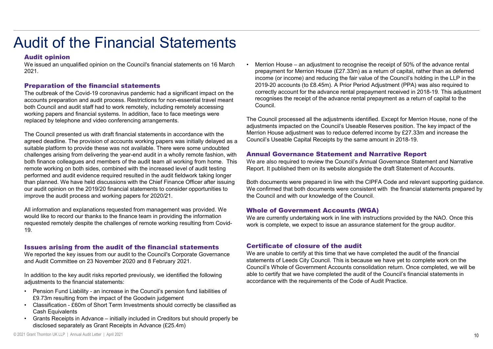#### Audit opinion

2021.

#### Preparation of the financial statements

The outbreak of the Covid-19 coronavirus pandemic had a significant impact on the accounts preparation and audit process. Restrictions for non-essential travel meant both Council and audit staff had to work remotely, including remotely accessing working papers and financial systems. In addition, face to face meetings were replaced by telephone and video conferencing arrangements.

The Council presented us with draft financial statements in accordance with the agreed deadline. The provision of accounts working papers was initially delayed as a suitable platform to provide these was not available. There were some undoubted challenges arising from delivering the year-end audit in a wholly remote fashion, with both finance colleagues and members of the audit team all working from home. This remote working on both sides, combined with the increased level of audit testing performed and audit evidence required resulted in the audit fieldwork taking longer than planned. We have held discussions with the Chief Finance Officer after issuing our audit opinion on the 2019/20 financial statements to consider opportunities to improve the audit process and working papers for 2020/21. The Council presented us with draft financial statements in accordance with the<br>signeed deadline. The provision of accounts working papers was initially delayed as<br>suitable platform to provide these was not available. The agreed dealine. The provision of accounts working papers was initially delayed as a<br>suitable platform to provide these was not available. There were some undoubted<br>challenges arising from delivering the year-end audit in a the<br>Illenges arising from delivering the year-end audti in a wholly remote fastion, with<br>the increased level of audit (sting<br>performed and audit evidence continue term of and the increased level of audit testing<br>the perfo Franche working on both sides, combined with the increased level of audit esting and the properties the performed and addit evidence required resulted in the cautifield<br>
then planned. We have held discussions with the Chie formed and autit evidence required resulted in the audit fieldwork raking longer<br>
for paramed And when the studies of the same in the consider of flice of the ratio field in the same of the consider opportunities to<br>
the

All information and explanations requested from management was provided. We would like to record our thanks to the finance team in providing the information requested remotely despite the challenges of remote working resulting from Covid-19.

#### Issues arising from the audit of the financial statements

We reported the key issues from our audit to the Council's Corporate Governance and Audit Committee on 23 November 2020 and 8 February 2021.

In addition to the key audit risks reported previously, we identified the following

- £9.73m resulting from the impact of the Goodwin judgement
- Cash Equivalents
- 

We issued an unqualified opinion on the Council's financial statements on 16 March • Merrion House – an adjustment to recognise the receipt of 50% of the advance rental • Merrion House – an adjustment to recognise the receipt of 50% of the advance rental<br>prepayment for Merrion House (£27.33m) as a return of capital, rather than as deferred<br>income (or income) and reducing the fair value o prepayment for Merrion House (£27.33m) as a return of capital, rather than as deferred income (or income) and reducing the fair value of the Council's holding in the LLP in the 2019-20 accounts (to £8.45m). A Prior Period Adjustment (PPA) was also required to correctly account for the advance rental prepayment received in 2018-19. This adjustment recognises the receipt of the advance rental prepayment as a return of capital to the Council.

> The Council processed all the adjustments identified. Except for Merrion House, none of the adjustments impacted on the Council's Useable Reserves position. The key impact of the Merrion House adjustment was to reduce deferred income by £27.33m and increase the Council's Useable Capital Receipts by the same amount in 2018-19.

#### Annual Governance Statement and Narrative Report

We are also required to review the Council's Annual Governance Statement and Narrative Report. It published them on its website alongside the draft Statement of Accounts.

Both documents were prepared in line with the CIPFA Code and relevant supporting guidance. We confirmed that both documents were consistent with the financial statements prepared by the Council and with our knowledge of the Council.

#### Whole of Government Accounts (WGA)

We are currently undertaking work in line with instructions provided by the NAO. Once this work is complete, we expect to issue an assurance statement for the group auditor.

#### Certificate of closure of the audit

We are unable to certify at this time that we have completed the audit of the financial statements of Leeds City Council. This is because we have yet to complete work on the Council's Whole of Government Accounts consolidation return. Once completed, we will be able to certify that we have completed the audit of the Council's financial statements in accordance with the requirements of the Code of Audit Practice.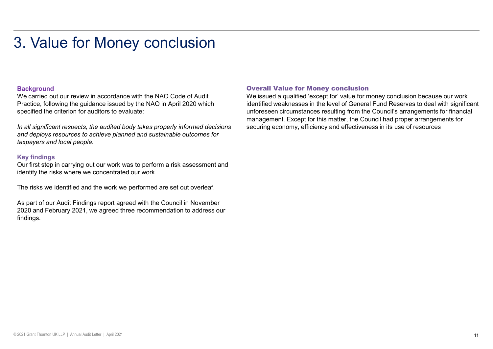#### **Background**

We carried out our review in accordance with the NAO Code of Audit Practice, following the guidance issued by the NAO in April 2020 which specified the criterion for auditors to evaluate:

In all significant respects, the audited body takes properly informed decisions and deploys resources to achieve planned and sustainable outcomes for taxpayers and local people.

#### Key findings

Our first step in carrying out our work was to perform a risk assessment and identify the risks where we concentrated our work.

The risks we identified and the work we performed are set out overleaf.

As part of our Audit Findings report agreed with the Council in November 2020 and February 2021, we agreed three recommendation to address our findings.

#### Overall Value for Money conclusion

We issued a qualified 'except for' value for money conclusion because our work identified weaknesses in the level of General Fund Reserves to deal with significant unforeseen circumstances resulting from the Council's arrangements for financial management. Except for this matter, the Council had proper arrangements for securing economy, efficiency and effectiveness in its use of resources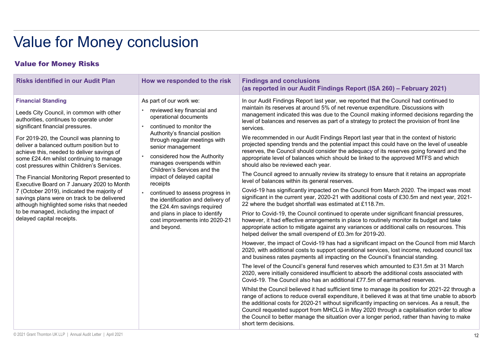#### Value for Money Risks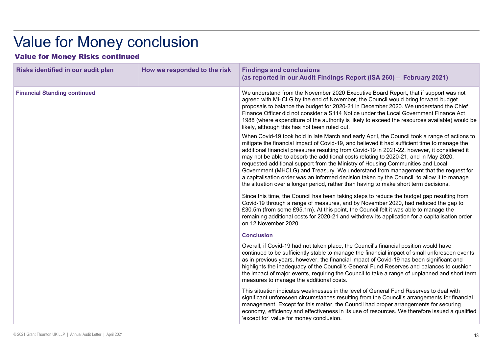| <b>Value for Money conclusion</b><br><b>Value for Money Risks continued</b> |                              |                                                                                                                                                                                                                                                                                                                                                                                                                                                                                                                                                                                                                                                                                                                                                                                                                                                                                                                                                                                                                                                                                                                                                                                                                                                                                                                                                                                                                                                                                                                                                                                                                                                                              |  |
|-----------------------------------------------------------------------------|------------------------------|------------------------------------------------------------------------------------------------------------------------------------------------------------------------------------------------------------------------------------------------------------------------------------------------------------------------------------------------------------------------------------------------------------------------------------------------------------------------------------------------------------------------------------------------------------------------------------------------------------------------------------------------------------------------------------------------------------------------------------------------------------------------------------------------------------------------------------------------------------------------------------------------------------------------------------------------------------------------------------------------------------------------------------------------------------------------------------------------------------------------------------------------------------------------------------------------------------------------------------------------------------------------------------------------------------------------------------------------------------------------------------------------------------------------------------------------------------------------------------------------------------------------------------------------------------------------------------------------------------------------------------------------------------------------------|--|
| Risks identified in our audit plan                                          | How we responded to the risk | <b>Findings and conclusions</b><br>(as reported in our Audit Findings Report (ISA 260) - February 2021)                                                                                                                                                                                                                                                                                                                                                                                                                                                                                                                                                                                                                                                                                                                                                                                                                                                                                                                                                                                                                                                                                                                                                                                                                                                                                                                                                                                                                                                                                                                                                                      |  |
| <b>Financial Standing continued</b>                                         |                              | We understand from the November 2020 Executive Board Report, that if support was not<br>agreed with MHCLG by the end of November, the Council would bring forward budget<br>proposals to balance the budget for 2020-21 in December 2020. We understand the Chief<br>Finance Officer did not consider a S114 Notice under the Local Government Finance Act<br>1988 (where expenditure of the authority is likely to exceed the resources available) would be<br>likely, although this has not been ruled out.<br>When Covid-19 took hold in late March and early April, the Council took a range of actions to<br>mitigate the financial impact of Covid-19, and believed it had sufficient time to manage the<br>additional financial pressures resulting from Covid-19 in 2021-22, however, it considered it<br>may not be able to absorb the additional costs relating to 2020-21, and in May 2020,<br>requested additional support from the Ministry of Housing Communities and Local<br>Government (MHCLG) and Treasury. We understand from management that the request for<br>a capitalisation order was an informed decision taken by the Council to allow it to manage<br>the situation over a longer period, rather than having to make short term decisions.<br>Since this time, the Council has been taking steps to reduce the budget gap resulting from<br>Covid-19 through a range of measures, and by November 2020, had reduced the gap to<br>£30.5m (from some £95.1m). At this point, the Council felt it was able to manage the<br>remaining additional costs for 2020-21 and withdrew its application for a capitalisation order<br>on 12 November 2020. |  |
|                                                                             |                              | <b>Conclusion</b>                                                                                                                                                                                                                                                                                                                                                                                                                                                                                                                                                                                                                                                                                                                                                                                                                                                                                                                                                                                                                                                                                                                                                                                                                                                                                                                                                                                                                                                                                                                                                                                                                                                            |  |
|                                                                             |                              | Overall, if Covid-19 had not taken place, the Council's financial position would have<br>continued to be sufficiently stable to manage the financial impact of small unforeseen events<br>as in previous years, however, the financial impact of Covid-19 has been significant and<br>highlights the inadequacy of the Council's General Fund Reserves and balances to cushion<br>the impact of major events, requiring the Council to take a range of unplanned and short term<br>measures to manage the additional costs.                                                                                                                                                                                                                                                                                                                                                                                                                                                                                                                                                                                                                                                                                                                                                                                                                                                                                                                                                                                                                                                                                                                                                  |  |
|                                                                             |                              | This situation indicates weaknesses in the level of General Fund Reserves to deal with<br>significant unforeseen circumstances resulting from the Council's arrangements for financial<br>management. Except for this matter, the Council had proper arrangements for securing<br>economy, efficiency and effectiveness in its use of resources. We therefore issued a qualified<br>'except for' value for money conclusion.                                                                                                                                                                                                                                                                                                                                                                                                                                                                                                                                                                                                                                                                                                                                                                                                                                                                                                                                                                                                                                                                                                                                                                                                                                                 |  |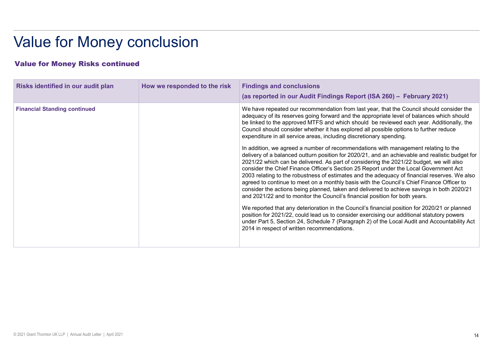| <b>Value for Money conclusion</b>      |                              |                                                                                                                                                                                                                                                                                                                                                                                                                                                                                                                                                                                                                                                                                                                                                                                                                                                                                                                                 |  |
|----------------------------------------|------------------------------|---------------------------------------------------------------------------------------------------------------------------------------------------------------------------------------------------------------------------------------------------------------------------------------------------------------------------------------------------------------------------------------------------------------------------------------------------------------------------------------------------------------------------------------------------------------------------------------------------------------------------------------------------------------------------------------------------------------------------------------------------------------------------------------------------------------------------------------------------------------------------------------------------------------------------------|--|
| <b>Value for Money Risks continued</b> |                              |                                                                                                                                                                                                                                                                                                                                                                                                                                                                                                                                                                                                                                                                                                                                                                                                                                                                                                                                 |  |
| Risks identified in our audit plan     | How we responded to the risk | <b>Findings and conclusions</b><br>(as reported in our Audit Findings Report (ISA 260) - February 2021)                                                                                                                                                                                                                                                                                                                                                                                                                                                                                                                                                                                                                                                                                                                                                                                                                         |  |
| <b>Financial Standing continued</b>    |                              | We have repeated our recommendation from last year, that the Council should consider the<br>adequacy of its reserves going forward and the appropriate level of balances which should<br>be linked to the approved MTFS and which should be reviewed each year. Additionally, the<br>Council should consider whether it has explored all possible options to further reduce<br>expenditure in all service areas, including discretionary spending.<br>In addition, we agreed a number of recommendations with management relating to the<br>delivery of a balanced outturn position for 2020/21, and an achievable and realistic budget for<br>2021/22 which can be delivered. As part of considering the 2021/22 budget, we will also<br>consider the Chief Finance Officer's Section 25 Report under the Local Government Act<br>2003 relating to the robustness of estimates and the adequacy of financial reserves. We also |  |
|                                        |                              | agreed to continue to meet on a monthly basis with the Council's Chief Finance Officer to<br>consider the actions being planned, taken and delivered to achieve savings in both 2020/21<br>and 2021/22 and to monitor the Council's financial position for both years.                                                                                                                                                                                                                                                                                                                                                                                                                                                                                                                                                                                                                                                          |  |
|                                        |                              | We reported that any deterioration in the Council's financial position for 2020/21 or planned<br>position for 2021/22, could lead us to consider exercising our additional statutory powers<br>under Part 5, Section 24, Schedule 7 (Paragraph 2) of the Local Audit and Accountability Act<br>2014 in respect of written recommendations.                                                                                                                                                                                                                                                                                                                                                                                                                                                                                                                                                                                      |  |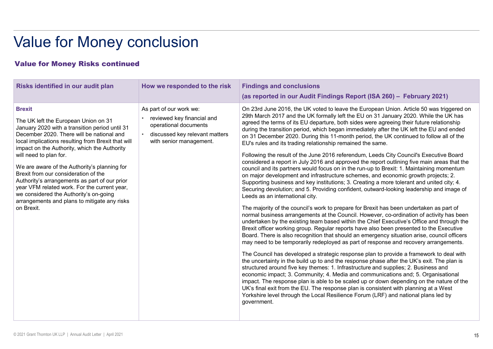| <b>Value for Money conclusion</b><br><b>Value for Money Risks continued</b>                                                                                                                                                                                                                                                                                                                                                                                                                                                                                                           |                                                                                                                                             |                                                                                                                                                                                                                                                                                                                                                                                                                                                                                                                                                                                                                                                                                                                                                                                                                                                                                                                                                                                                                                                                                                                                                                                                                                                                                                                                                                                                                                                                                                                                                                                                                                                                                                                                                                                                                                                                                                                                                                                                                                                                                                                                                                                                                                                                                                                                                                            |  |  |
|---------------------------------------------------------------------------------------------------------------------------------------------------------------------------------------------------------------------------------------------------------------------------------------------------------------------------------------------------------------------------------------------------------------------------------------------------------------------------------------------------------------------------------------------------------------------------------------|---------------------------------------------------------------------------------------------------------------------------------------------|----------------------------------------------------------------------------------------------------------------------------------------------------------------------------------------------------------------------------------------------------------------------------------------------------------------------------------------------------------------------------------------------------------------------------------------------------------------------------------------------------------------------------------------------------------------------------------------------------------------------------------------------------------------------------------------------------------------------------------------------------------------------------------------------------------------------------------------------------------------------------------------------------------------------------------------------------------------------------------------------------------------------------------------------------------------------------------------------------------------------------------------------------------------------------------------------------------------------------------------------------------------------------------------------------------------------------------------------------------------------------------------------------------------------------------------------------------------------------------------------------------------------------------------------------------------------------------------------------------------------------------------------------------------------------------------------------------------------------------------------------------------------------------------------------------------------------------------------------------------------------------------------------------------------------------------------------------------------------------------------------------------------------------------------------------------------------------------------------------------------------------------------------------------------------------------------------------------------------------------------------------------------------------------------------------------------------------------------------------------------------|--|--|
|                                                                                                                                                                                                                                                                                                                                                                                                                                                                                                                                                                                       |                                                                                                                                             |                                                                                                                                                                                                                                                                                                                                                                                                                                                                                                                                                                                                                                                                                                                                                                                                                                                                                                                                                                                                                                                                                                                                                                                                                                                                                                                                                                                                                                                                                                                                                                                                                                                                                                                                                                                                                                                                                                                                                                                                                                                                                                                                                                                                                                                                                                                                                                            |  |  |
| <b>Brexit</b><br>The UK left the European Union on 31<br>January 2020 with a transition period until 31<br>December 2020. There will be national and<br>local implications resulting from Brexit that will<br>impact on the Authority, which the Authority<br>will need to plan for.<br>We are aware of the Authority's planning for<br>Brexit from our consideration of the<br>Authority's arrangements as part of our prior<br>year VFM related work. For the current year,<br>we considered the Authority's on-going<br>arrangements and plans to mitigate any risks<br>on Brexit. | As part of our work we:<br>reviewed key financial and<br>operational documents<br>discussed key relevant matters<br>with senior management. | On 23rd June 2016, the UK voted to leave the European Union. Article 50 was triggered on<br>29th March 2017 and the UK formally left the EU on 31 January 2020. While the UK has<br>agreed the terms of its EU departure, both sides were agreeing their future relationship<br>during the transition period, which began immediately after the UK left the EU and ended<br>on 31 December 2020. During this 11-month period, the UK continued to follow all of the<br>EU's rules and its trading relationship remained the same.<br>Following the result of the June 2016 referendum, Leeds City Council's Executive Board<br>considered a report in July 2016 and approved the report outlining five main areas that the<br>council and its partners would focus on in the run-up to Brexit: 1. Maintaining momentum<br>on major development and infrastructure schemes, and economic growth projects; 2.<br>Supporting business and key institutions; 3. Creating a more tolerant and united city; 4.<br>Securing devolution; and 5. Providing confident, outward-looking leadership and image of<br>Leeds as an international city.<br>The majority of the council's work to prepare for Brexit has been undertaken as part of<br>normal business arrangements at the Council. However, co-ordination of activity has been<br>undertaken by the existing team based within the Chief Executive's Office and through the<br>Brexit officer working group. Regular reports have also been presented to the Executive<br>Board. There is also recognition that should an emergency situation arise, council officers<br>may need to be temporarily redeployed as part of response and recovery arrangements.<br>The Council has developed a strategic response plan to provide a framework to deal with<br>the uncertainty in the build up to and the response phase after the UK's exit. The plan is<br>structured around five key themes: 1. Infrastructure and supplies; 2. Business and<br>economic impact; 3. Community; 4. Media and communications and; 5. Organisational<br>impact. The response plan is able to be scaled up or down depending on the nature of the<br>UK's final exit from the EU. The response plan is consistent with planning at a West<br>Yorkshire level through the Local Resilience Forum (LRF) and national plans led by<br>government. |  |  |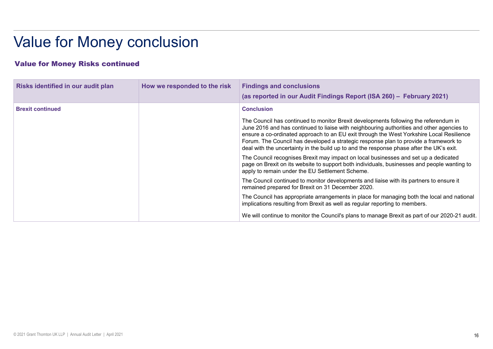| <b>Value for Money conclusion</b>      |  |                                                                                                                                                                                                                                                                                                                                                                                                                                                                   |  |  |
|----------------------------------------|--|-------------------------------------------------------------------------------------------------------------------------------------------------------------------------------------------------------------------------------------------------------------------------------------------------------------------------------------------------------------------------------------------------------------------------------------------------------------------|--|--|
| <b>Value for Money Risks continued</b> |  |                                                                                                                                                                                                                                                                                                                                                                                                                                                                   |  |  |
|                                        |  |                                                                                                                                                                                                                                                                                                                                                                                                                                                                   |  |  |
|                                        |  | (as reported in our Audit Findings Report (ISA 260) - February 2021)                                                                                                                                                                                                                                                                                                                                                                                              |  |  |
| <b>Brexit continued</b>                |  | <b>Conclusion</b>                                                                                                                                                                                                                                                                                                                                                                                                                                                 |  |  |
|                                        |  | The Council has continued to monitor Brexit developments following the referendum in<br>June 2016 and has continued to liaise with neighbouring authorities and other agencies to<br>ensure a co-ordinated approach to an EU exit through the West Yorkshire Local Resilience<br>Forum. The Council has developed a strategic response plan to provide a framework to<br>deal with the uncertainty in the build up to and the response phase after the UK's exit. |  |  |
|                                        |  | The Council recognises Brexit may impact on local businesses and set up a dedicated<br>page on Brexit on its website to support both individuals, businesses and people wanting to<br>apply to remain under the EU Settlement Scheme.                                                                                                                                                                                                                             |  |  |
|                                        |  | The Council continued to monitor developments and liaise with its partners to ensure it                                                                                                                                                                                                                                                                                                                                                                           |  |  |
|                                        |  | remained prepared for Brexit on 31 December 2020.                                                                                                                                                                                                                                                                                                                                                                                                                 |  |  |
|                                        |  | The Council has appropriate arrangements in place for managing both the local and national<br>implications resulting from Brexit as well as regular reporting to members.                                                                                                                                                                                                                                                                                         |  |  |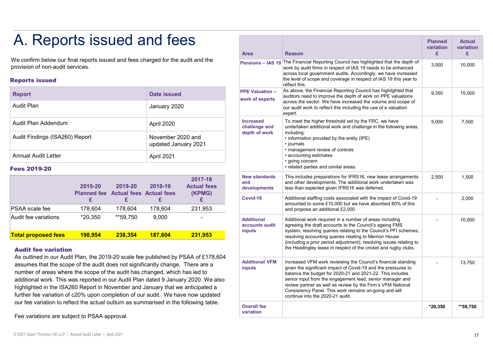## A. Reports issued and fees

#### Reports issued

| <b>Report</b>                  | Date issued                               | A:<br><b>PPE Valuation -</b><br>la<br>work of experts |
|--------------------------------|-------------------------------------------|-------------------------------------------------------|
| <b>Audit Plan</b>              | January 2020                              | l a<br>lοι<br>$\ket{e}$                               |
| Audit Plan Addendum            | April 2020                                | <b>Increased</b><br>challenge and<br>U                |
| Audit Findings (ISA260) Report | November 2020 and<br>updated January 2021 | İľ<br>depth of work<br>$\bullet$                      |
| <b>Annual Audit Letter</b>     | April 2021                                |                                                       |

#### Fees 2019-20

|                            | 2019-20 | 2019-20<br><b>Planned fee Actual fees Actual fees</b> | 2018-19 | 2017-18<br><b>Actual fees</b><br>(KPMG) | <b>New standards</b><br>and<br>developments   |
|----------------------------|---------|-------------------------------------------------------|---------|-----------------------------------------|-----------------------------------------------|
|                            |         |                                                       |         |                                         | Covid-19                                      |
| <b>PSAA</b> scale fee      | 178.604 | 178.604                                               | 178.604 | 231,953                                 |                                               |
| Audit fee variations       | *20.350 | **59.750                                              | 9.000   |                                         | <b>Additional</b><br>accounts audit<br>inputs |
| <b>Total proposed fees</b> | 198.954 | 238,354                                               | 187.604 | 231.953                                 |                                               |

#### Audit fee variation

| A. Reports issued and fees                                                                                                                                                                                                                                                                                                                                                                                                                                                                                    |                               |                                           |               |                                                                                                                                                        |                                               |                                                                                                                                                                                                                                                                                                                                                                                                                       | <b>Planned</b><br>variation | <b>Actual</b><br>variation |
|---------------------------------------------------------------------------------------------------------------------------------------------------------------------------------------------------------------------------------------------------------------------------------------------------------------------------------------------------------------------------------------------------------------------------------------------------------------------------------------------------------------|-------------------------------|-------------------------------------------|---------------|--------------------------------------------------------------------------------------------------------------------------------------------------------|-----------------------------------------------|-----------------------------------------------------------------------------------------------------------------------------------------------------------------------------------------------------------------------------------------------------------------------------------------------------------------------------------------------------------------------------------------------------------------------|-----------------------------|----------------------------|
| We confirm below our final reports issued and fees charged for the audit and the                                                                                                                                                                                                                                                                                                                                                                                                                              |                               |                                           |               |                                                                                                                                                        | <b>Area</b><br><b>Pensions - IAS 19</b>       | <b>Reason</b><br>The Financial Reporting Council has highlighted that the depth of                                                                                                                                                                                                                                                                                                                                    | £                           | £.                         |
| provision of non-audit services.<br><b>Reports issued</b>                                                                                                                                                                                                                                                                                                                                                                                                                                                     |                               |                                           |               |                                                                                                                                                        |                                               | work by audit firms in respect of IAS 19 needs to be enhanced<br>across local government audits. Accordingly, we have increased<br>the level of scope and coverage in respect of IAS 19 this year to<br>reflect this.                                                                                                                                                                                                 | 3,500                       | 10,000                     |
| <b>Report</b>                                                                                                                                                                                                                                                                                                                                                                                                                                                                                                 |                               |                                           | Date issued   |                                                                                                                                                        | <b>PPE Valuation -</b>                        | As above, the Financial Reporting Council has highlighted that<br>auditors need to improve the depth of work on PPE valuations                                                                                                                                                                                                                                                                                        |                             | 15,000                     |
| <b>Audit Plan</b>                                                                                                                                                                                                                                                                                                                                                                                                                                                                                             |                               |                                           | January 2020  |                                                                                                                                                        | work of experts                               | across the sector. We have increased the volume and scope of<br>our audit work to reflect this including the use of a valuation<br>expert.                                                                                                                                                                                                                                                                            |                             |                            |
| Audit Plan Addendum                                                                                                                                                                                                                                                                                                                                                                                                                                                                                           |                               |                                           | April 2020    |                                                                                                                                                        | <b>Increased</b><br>challenge and             | To meet the higher threshold set by the FRC, we have<br>undertaken additional work and challenge in the following areas,                                                                                                                                                                                                                                                                                              |                             | 7,500                      |
| Audit Findings (ISA260) Report<br>November 2020 and<br>updated January 2021<br><b>Annual Audit Letter</b><br>April 2021                                                                                                                                                                                                                                                                                                                                                                                       |                               |                                           | depth of work | including:<br>• information provided by the entity (IPE)<br>• journals<br>• management review of controls<br>• accounting estimates<br>• going concern |                                               |                                                                                                                                                                                                                                                                                                                                                                                                                       |                             |                            |
|                                                                                                                                                                                                                                                                                                                                                                                                                                                                                                               |                               |                                           |               |                                                                                                                                                        |                                               |                                                                                                                                                                                                                                                                                                                                                                                                                       |                             |                            |
| Fees 2019-20                                                                                                                                                                                                                                                                                                                                                                                                                                                                                                  |                               |                                           |               |                                                                                                                                                        |                                               | • related parties and similar areas.                                                                                                                                                                                                                                                                                                                                                                                  |                             |                            |
|                                                                                                                                                                                                                                                                                                                                                                                                                                                                                                               | 2019-20<br><b>Planned fee</b> | 2019-20<br><b>Actual fees Actual fees</b> | 2018-19       | 2017-18<br><b>Actual fees</b><br>(KPMG)                                                                                                                | <b>New standards</b><br>and<br>developments   | This includes preparations for IFRS16, new lease arrangements<br>and other developments. The additional work undertaken was<br>less than expected given IFRS16 was deferred.                                                                                                                                                                                                                                          | 2,500                       | 1,500                      |
|                                                                                                                                                                                                                                                                                                                                                                                                                                                                                                               | £                             | £                                         | £             | £                                                                                                                                                      | Covid-19                                      | Additional staffing costs associated with the impact of Covid-19<br>amounted to some £10,000 but we have absorbed 80% of this                                                                                                                                                                                                                                                                                         |                             | 2,000                      |
| PSAA scale fee                                                                                                                                                                                                                                                                                                                                                                                                                                                                                                | 178,604                       | 178,604                                   | 178,604       | 231,953                                                                                                                                                |                                               | and propose an additional £2,000.                                                                                                                                                                                                                                                                                                                                                                                     |                             |                            |
| Audit fee variations                                                                                                                                                                                                                                                                                                                                                                                                                                                                                          | *20,350                       | **59,750                                  | 9,000         |                                                                                                                                                        | <b>Additional</b><br>accounts audit<br>inputs | Additional work required in a number of areas including<br>agreeing the draft accounts to the Council's ageing FMS<br>system; resolving queries relating to the Council's PFI schemes;                                                                                                                                                                                                                                |                             | 10,000                     |
| <b>Total proposed fees</b><br><b>Audit fee variation</b>                                                                                                                                                                                                                                                                                                                                                                                                                                                      | 198,954                       | 238,354                                   | 187,604       | 231,953                                                                                                                                                |                                               | resolving accounting queries relating to Merrion House<br>(including a prior period adjustment); resolving issues relating to<br>the Headingley lease in respect of the cricket and rugby clubs.                                                                                                                                                                                                                      |                             |                            |
| As outlined in our Audit Plan, the 2019-20 scale fee published by PSAA of £178,604<br>assumes that the scope of the audit does not significantly change. There are a<br>number of areas where the scope of the audit has changed, which has led to<br>additional work. This was reported in our Audit Plan dated 9 January 2020. We also<br>highlighted in the ISA260 Report in November and January that we anticipated a<br>further fee variation of c20% upon completion of our audit. We have now updated |                               |                                           |               |                                                                                                                                                        | <b>Additional VFM</b><br>inputs               | Increased VFM work reviewing the Council's financial standing<br>given the significant impact of Covid-19 and the pressures to<br>balance the budget for 2020-21 and 2021-22. This includes<br>senior input from the engagement lead, senior manager and<br>review partner as well as review by the Firm's VFM National<br>Consistency Panel. This work remains on-going and will<br>continue into the 2020-21 audit. |                             | 13,750                     |
| our fee variation to reflect the actual outturn as summarised in the following table.<br>Fee variations are subject to PSAA approval.                                                                                                                                                                                                                                                                                                                                                                         |                               |                                           |               |                                                                                                                                                        | <b>Overall fee</b><br>variation               |                                                                                                                                                                                                                                                                                                                                                                                                                       | $*20,350$                   | **59,750                   |
| © 2021 Grant Thornton UK LLP   Annual Audit Letter   April 2021                                                                                                                                                                                                                                                                                                                                                                                                                                               |                               |                                           |               |                                                                                                                                                        |                                               |                                                                                                                                                                                                                                                                                                                                                                                                                       |                             | 17                         |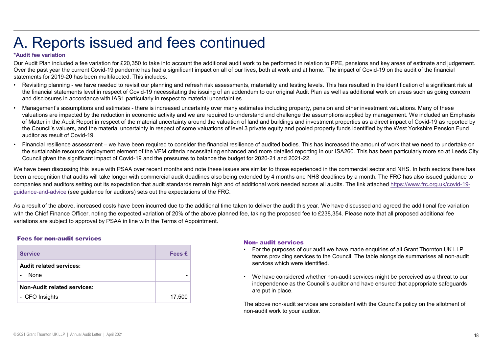### A. Reports issued and fees continued

#### \*Audit fee variation

Our Audit Plan included a fee variation for £20,350 to take into account the additional audit work to be performed in relation to PPE, pensions and key areas of estimate and judgement.<br>Over the past year the current Covidstatements for 2019-20 has been multifaceted. This includes:

- A. Reports issued and fees continued<br>"Audit fee variation<br>Over Audit Pan included a fee variation for £20,350 to take into account the additional audit work to be performed in relation to PPE, pensions and key areas of est A. Reports issued and fees continued the account of the mindle of the account the additional audit work to be performed in relation to PPE, pensions and key areas of estimate and judgement.<br>Over Audit Plan included a fee v the financial statements level in respect of Covid-19 necessitating the issuing of an addendum to our original Audit Plan as well as additional work on areas such as going concern and disclosures in accordance with IAS1 particularly in respect to material uncertainties.
- **A. Reports issued and fees continued**<br><sup>2</sup>Audit face variation of respective and fees and a significant impact on all of our lives, both at work and a home. The impact of Covid-19 on the audit of the financial outer the pa wall Reprise a few are incomediate and the reductions and activity and the reduction in economic activity and the reduction in equilibratic set are interest to the pact we are in the reduction in the reduction in the rest of Matter in the Audit Report in respect of the material uncertainty around the valuation of land and buildings and investment properties as a direct impact of Covid-19 as reported by the Council's valuers, and the material uncertainty in respect of some valuations of level 3 private equity and pooled property funds identified by the West Yorkshire Pension Fund auditor as result of Covid-19. A. Reports issued a consider a fees continued in white pair and the set is consider the principal relation of  $\mathbb{P} \mathbb{F}_r$  persions and key areas of estimate and judgment. Our dust the induction of the model of the var A. Reports issue and  $\epsilon$  and fees continued<br>our And its unviation of the constrained and the section and the months and note the financial section and by seas of estimate and judgement.<br>Our And Ten underlyine this includ "Audit fee variation for E20.350 to take into account the additional audit work to be performed in relation to PPE, persions and key resears of existing the and a result of the above increased to prove the past yas the co Management's assumptions and estimates - there is increased uncertainty over many estimates including property, pension and other informations are increased in the reduction in economic activity and we are required to und stimates including property, pension and other investment valuations. Many of these<br>terstand and challenge the assumptions applied by management. We included an I<br>of and and buildings and investment properties as a direct timates including property, pension and other investment valuations. Many of these<br>firstand and challenge the assumptions applied by management. We included an Emphasis<br>1 fand and buildings and investment properties as a
- the sustainable resource deployment element of the VFM criteria necessitating enhanced and more detailed reporting in our ISA260. This has been particularly more so at Leeds City Council given the significant impact of Covid-19 and the pressures to balance the budget for 2020-21 and 2021-22.

been a recognition that audits will take longer with commercial audit deadlines also being extended by 4 months and NHS deadlines by a month. The FRC has also issued quidance to companies and auditors setting out its expectation that audit standards remain high and of additional work needed across all audits. The link attached https://www.frc.org.uk/covid-19 guidance-and-advice (see guidance for auditors) sets out the expectations of the FRC. or water in ure Award report in the spectra or the material uncertainty in respect of some valuations of shorts equilibration of 2016. This has increased the amount of the Council's values, and the material uncertainty i For the exercise of the considered whether non-audit services might be perceived as a threat to our independence of audited beopology. This has been particularly more so at Leeds City for 2020-21 and 2021-22.<br>This has been

with the Chief Finance Officer, noting the expected variation of 20% of the above planned fee, taking the proposed fee to £238,354. Please note that all proposed additional fee variations are subject to approval by PSAA in line with the Terms of Appointment.

#### Fees for non-audit services

| Council given the significant impact of Covid-19 and the pressures to balance the budget for 2020-21 and 2021-22.      |        | Financial resilience assessment – we have been required to consider the financial resilience of audited bodies. This has increased the a<br>the sustainable resource deployment element of the VFM criteria necessitating enhanced and more detailed reporting in our ISA260. Th                                                                                                                                                |
|------------------------------------------------------------------------------------------------------------------------|--------|---------------------------------------------------------------------------------------------------------------------------------------------------------------------------------------------------------------------------------------------------------------------------------------------------------------------------------------------------------------------------------------------------------------------------------|
| uidance-and-advice (see guidance for auditors) sets out the expectations of the FRC.                                   |        | Ve have been discussing this issue with PSAA over recent months and note these issues are similar to those experienced in the commerc<br>een a recognition that audits will take longer with commercial audit deadlines also being extended by 4 months and NHS deadlines by a n<br>ompanies and auditors setting out its expectation that audit standards remain high and of additional work needed across all audits. The lir |
| ariations are subject to approval by PSAA in line with the Terms of Appointment.<br><b>Fees for non-audit services</b> |        | is a result of the above, increased costs have been incurred due to the additional time taken to deliver the audit this year. We have discus<br>/ith the Chief Finance Officer, noting the expected variation of 20% of the above planned fee, taking the proposed fee to £238,354. Please<br><b>Non- audit services</b>                                                                                                        |
| <b>Service</b>                                                                                                         | Fees £ | For the purposes of our audit we have made<br>teams providing services to the Council. The                                                                                                                                                                                                                                                                                                                                      |
| <b>Audit related services:</b>                                                                                         |        | services which were identified.                                                                                                                                                                                                                                                                                                                                                                                                 |
| None                                                                                                                   |        | We have considered whether non-audit serv                                                                                                                                                                                                                                                                                                                                                                                       |
| <b>Non-Audit related services:</b>                                                                                     |        | independence as the Council's auditor and<br>are put in place.                                                                                                                                                                                                                                                                                                                                                                  |
| - CFO Insights                                                                                                         | 17,500 |                                                                                                                                                                                                                                                                                                                                                                                                                                 |
|                                                                                                                        |        | The above non-audit services are consistent wi<br>non-audit work to your auditor.                                                                                                                                                                                                                                                                                                                                               |
| 2021 Crapt Thorpton UK LLD   Annual Audit Letter   April 2021                                                          |        |                                                                                                                                                                                                                                                                                                                                                                                                                                 |
|                                                                                                                        |        |                                                                                                                                                                                                                                                                                                                                                                                                                                 |

- teams providing services to the Council. The table alongside summarises all non-audit services which were identified.
- independence as the Council's auditor and have ensured that appropriate safeguards are put in place.

The above non-audit services are consistent with the Council's policy on the allotment of non-audit work to your auditor.